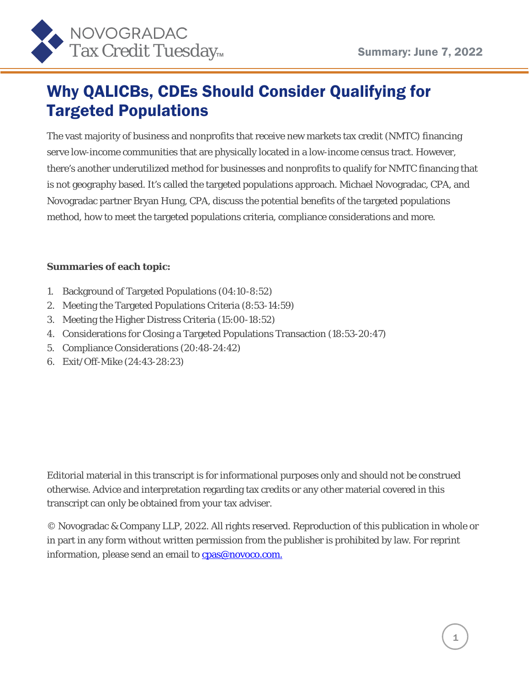

#### Why QALICBs, CDEs Should Consider Qualifying for Targeted Populations

The vast majority of business and nonprofits that receive new markets tax credit (NMTC) financing serve low-income communities that are physically located in a low-income census tract. However, there's another underutilized method for businesses and nonprofits to qualify for NMTC financing that is not geography based. It's called the targeted populations approach. Michael Novogradac, CPA, and Novogradac partner Bryan Hung, CPA, discuss the potential benefits of the targeted populations method, how to meet the targeted populations criteria, compliance considerations and more.

#### **Summaries of each topic:**

- 1. Background of Targeted Populations (04:10-8:52)
- 2. Meeting the Targeted Populations Criteria (8:53-14:59)
- 3. Meeting the Higher Distress Criteria (15:00-18:52)
- 4. Considerations for Closing a Targeted Populations Transaction (18:53-20:47)
- 5. Compliance Considerations (20:48-24:42)
- 6. Exit/Off-Mike (24:43-28:23)

Editorial material in this transcript is for informational purposes only and should not be construed otherwise. Advice and interpretation regarding tax credits or any other material covered in this transcript can only be obtained from your tax adviser.

© Novogradac & Company LLP, 2022. All rights reserved. Reproduction of this publication in whole or in part in any form without written permission from the publisher is prohibited by law. For reprint information, please send an email to **cpas@novoco.com.**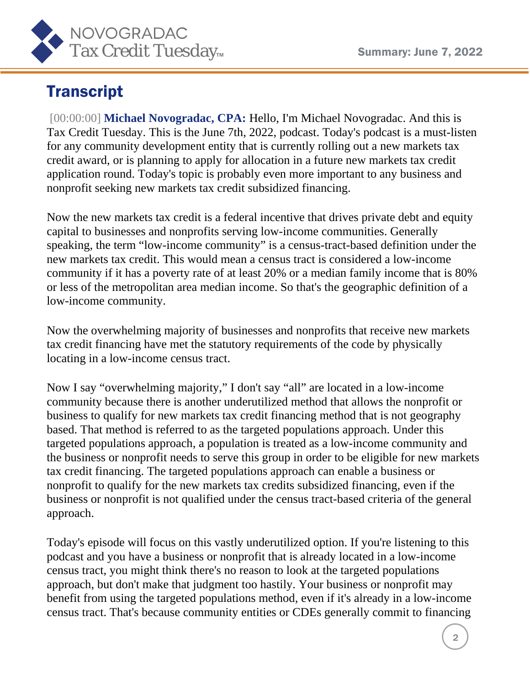

## **Transcript**

[00:00:00] **Michael Novogradac, CPA:** Hello, I'm Michael Novogradac. And this is Tax Credit Tuesday. This is the June 7th, 2022, podcast. Today's podcast is a must-listen for any community development entity that is currently rolling out a new markets tax credit award, or is planning to apply for allocation in a future new markets tax credit application round. Today's topic is probably even more important to any business and nonprofit seeking new markets tax credit subsidized financing.

Now the new markets tax credit is a federal incentive that drives private debt and equity capital to businesses and nonprofits serving low-income communities. Generally speaking, the term "low-income community" is a census-tract-based definition under the new markets tax credit. This would mean a census tract is considered a low-income community if it has a poverty rate of at least 20% or a median family income that is 80% or less of the metropolitan area median income. So that's the geographic definition of a low-income community.

Now the overwhelming majority of businesses and nonprofits that receive new markets tax credit financing have met the statutory requirements of the code by physically locating in a low-income census tract.

Now I say "overwhelming majority," I don't say "all" are located in a low-income community because there is another underutilized method that allows the nonprofit or business to qualify for new markets tax credit financing method that is not geography based. That method is referred to as the targeted populations approach. Under this targeted populations approach, a population is treated as a low-income community and the business or nonprofit needs to serve this group in order to be eligible for new markets tax credit financing. The targeted populations approach can enable a business or nonprofit to qualify for the new markets tax credits subsidized financing, even if the business or nonprofit is not qualified under the census tract-based criteria of the general approach.

Today's episode will focus on this vastly underutilized option. If you're listening to this podcast and you have a business or nonprofit that is already located in a low-income census tract, you might think there's no reason to look at the targeted populations approach, but don't make that judgment too hastily. Your business or nonprofit may benefit from using the targeted populations method, even if it's already in a low-income census tract. That's because community entities or CDEs generally commit to financing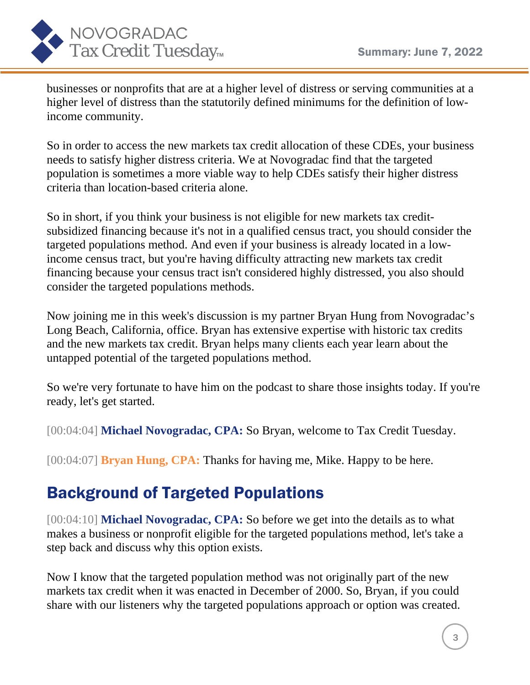

businesses or nonprofits that are at a higher level of distress or serving communities at a higher level of distress than the statutorily defined minimums for the definition of lowincome community.

So in order to access the new markets tax credit allocation of these CDEs, your business needs to satisfy higher distress criteria. We at Novogradac find that the targeted population is sometimes a more viable way to help CDEs satisfy their higher distress criteria than location-based criteria alone.

So in short, if you think your business is not eligible for new markets tax creditsubsidized financing because it's not in a qualified census tract, you should consider the targeted populations method. And even if your business is already located in a lowincome census tract, but you're having difficulty attracting new markets tax credit financing because your census tract isn't considered highly distressed, you also should consider the targeted populations methods.

Now joining me in this week's discussion is my partner Bryan Hung from Novogradac's Long Beach, California, office. Bryan has extensive expertise with historic tax credits and the new markets tax credit. Bryan helps many clients each year learn about the untapped potential of the targeted populations method.

So we're very fortunate to have him on the podcast to share those insights today. If you're ready, let's get started.

[00:04:04] **Michael Novogradac, CPA: So Bryan, welcome to Tax Credit Tuesday.** 

[00:04:07] **Bryan Hung, CPA:** Thanks for having me, Mike. Happy to be here.

#### Background of Targeted Populations

[00:04:10] **Michael Novogradac, CPA:** So before we get into the details as to what makes a business or nonprofit eligible for the targeted populations method, let's take a step back and discuss why this option exists.

Now I know that the targeted population method was not originally part of the new markets tax credit when it was enacted in December of 2000. So, Bryan, if you could share with our listeners why the targeted populations approach or option was created.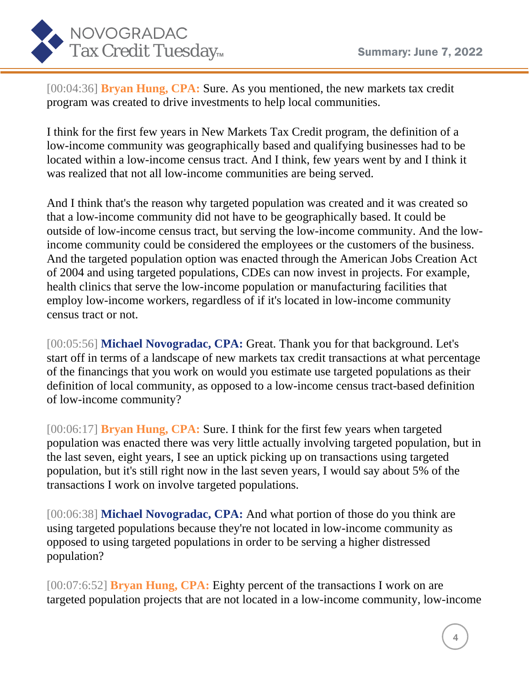

[00:04:36] **Bryan Hung, CPA:** Sure. As you mentioned, the new markets tax credit program was created to drive investments to help local communities.

I think for the first few years in New Markets Tax Credit program, the definition of a low-income community was geographically based and qualifying businesses had to be located within a low-income census tract. And I think, few years went by and I think it was realized that not all low-income communities are being served.

And I think that's the reason why targeted population was created and it was created so that a low-income community did not have to be geographically based. It could be outside of low-income census tract, but serving the low-income community. And the lowincome community could be considered the employees or the customers of the business. And the targeted population option was enacted through the American Jobs Creation Act of 2004 and using targeted populations, CDEs can now invest in projects. For example, health clinics that serve the low-income population or manufacturing facilities that employ low-income workers, regardless of if it's located in low-income community census tract or not.

[00:05:56] **Michael Novogradac, CPA: Great. Thank you for that background. Let's** start off in terms of a landscape of new markets tax credit transactions at what percentage of the financings that you work on would you estimate use targeted populations as their definition of local community, as opposed to a low-income census tract-based definition of low-income community?

[00:06:17] **Bryan Hung, CPA:** Sure. I think for the first few years when targeted population was enacted there was very little actually involving targeted population, but in the last seven, eight years, I see an uptick picking up on transactions using targeted population, but it's still right now in the last seven years, I would say about 5% of the transactions I work on involve targeted populations.

[00:06:38] **Michael Novogradac, CPA:** And what portion of those do you think are using targeted populations because they're not located in low-income community as opposed to using targeted populations in order to be serving a higher distressed population?

[00:07:6:52] **Bryan Hung, CPA:** Eighty percent of the transactions I work on are targeted population projects that are not located in a low-income community, low-income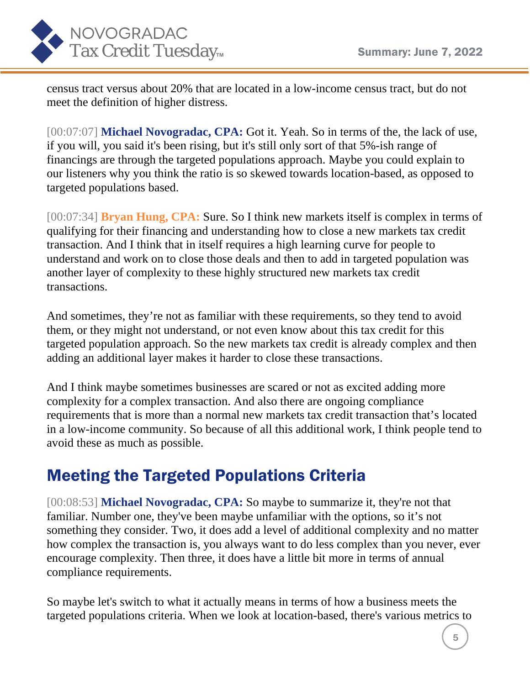

census tract versus about 20% that are located in a low-income census tract, but do not meet the definition of higher distress.

[00:07:07] **Michael Novogradac, CPA:** Got it. Yeah. So in terms of the, the lack of use, if you will, you said it's been rising, but it's still only sort of that 5%-ish range of financings are through the targeted populations approach. Maybe you could explain to our listeners why you think the ratio is so skewed towards location-based, as opposed to targeted populations based.

[00:07:34] **Bryan Hung, CPA:** Sure. So I think new markets itself is complex in terms of qualifying for their financing and understanding how to close a new markets tax credit transaction. And I think that in itself requires a high learning curve for people to understand and work on to close those deals and then to add in targeted population was another layer of complexity to these highly structured new markets tax credit transactions.

And sometimes, they're not as familiar with these requirements, so they tend to avoid them, or they might not understand, or not even know about this tax credit for this targeted population approach. So the new markets tax credit is already complex and then adding an additional layer makes it harder to close these transactions.

And I think maybe sometimes businesses are scared or not as excited adding more complexity for a complex transaction. And also there are ongoing compliance requirements that is more than a normal new markets tax credit transaction that's located in a low-income community. So because of all this additional work, I think people tend to avoid these as much as possible.

#### Meeting the Targeted Populations Criteria

[00:08:53] **Michael Novogradac, CPA:** So maybe to summarize it, they're not that familiar. Number one, they've been maybe unfamiliar with the options, so it's not something they consider. Two, it does add a level of additional complexity and no matter how complex the transaction is, you always want to do less complex than you never, ever encourage complexity. Then three, it does have a little bit more in terms of annual compliance requirements.

So maybe let's switch to what it actually means in terms of how a business meets the targeted populations criteria. When we look at location-based, there's various metrics to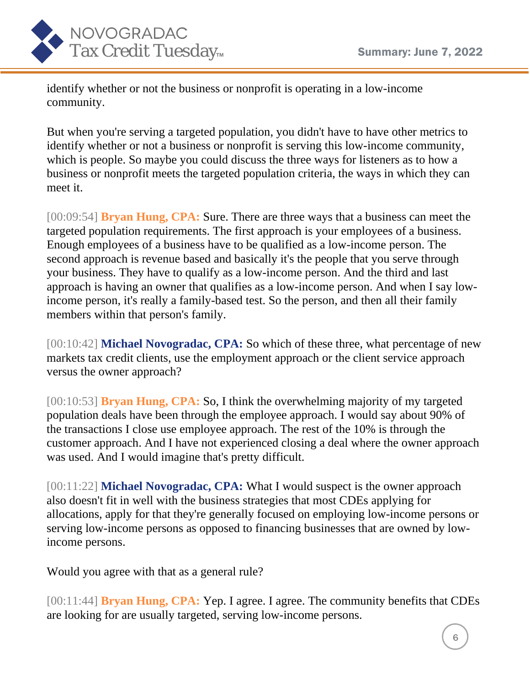

identify whether or not the business or nonprofit is operating in a low-income community.

But when you're serving a targeted population, you didn't have to have other metrics to identify whether or not a business or nonprofit is serving this low-income community, which is people. So maybe you could discuss the three ways for listeners as to how a business or nonprofit meets the targeted population criteria, the ways in which they can meet it.

[00:09:54] **Bryan Hung, CPA:** Sure. There are three ways that a business can meet the targeted population requirements. The first approach is your employees of a business. Enough employees of a business have to be qualified as a low-income person. The second approach is revenue based and basically it's the people that you serve through your business. They have to qualify as a low-income person. And the third and last approach is having an owner that qualifies as a low-income person. And when I say lowincome person, it's really a family-based test. So the person, and then all their family members within that person's family.

[00:10:42] **Michael Novogradac, CPA:** So which of these three, what percentage of new markets tax credit clients, use the employment approach or the client service approach versus the owner approach?

[00:10:53] **Bryan Hung, CPA:** So, I think the overwhelming majority of my targeted population deals have been through the employee approach. I would say about 90% of the transactions I close use employee approach. The rest of the 10% is through the customer approach. And I have not experienced closing a deal where the owner approach was used. And I would imagine that's pretty difficult.

[00:11:22] **Michael Novogradac, CPA:** What I would suspect is the owner approach also doesn't fit in well with the business strategies that most CDEs applying for allocations, apply for that they're generally focused on employing low-income persons or serving low-income persons as opposed to financing businesses that are owned by lowincome persons.

Would you agree with that as a general rule?

[00:11:44] **Bryan Hung, CPA:** Yep. I agree. I agree. The community benefits that CDEs are looking for are usually targeted, serving low-income persons.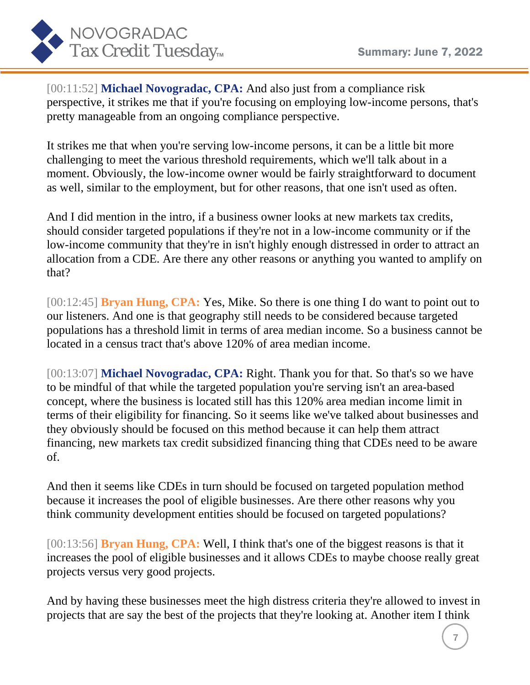

[00:11:52] **Michael Novogradac, CPA:** And also just from a compliance risk perspective, it strikes me that if you're focusing on employing low-income persons, that's pretty manageable from an ongoing compliance perspective.

It strikes me that when you're serving low-income persons, it can be a little bit more challenging to meet the various threshold requirements, which we'll talk about in a moment. Obviously, the low-income owner would be fairly straightforward to document as well, similar to the employment, but for other reasons, that one isn't used as often.

And I did mention in the intro, if a business owner looks at new markets tax credits, should consider targeted populations if they're not in a low-income community or if the low-income community that they're in isn't highly enough distressed in order to attract an allocation from a CDE. Are there any other reasons or anything you wanted to amplify on that?

[00:12:45] **Bryan Hung, CPA:** Yes, Mike. So there is one thing I do want to point out to our listeners. And one is that geography still needs to be considered because targeted populations has a threshold limit in terms of area median income. So a business cannot be located in a census tract that's above 120% of area median income.

[00:13:07] **Michael Novogradac, CPA:** Right. Thank you for that. So that's so we have to be mindful of that while the targeted population you're serving isn't an area-based concept, where the business is located still has this 120% area median income limit in terms of their eligibility for financing. So it seems like we've talked about businesses and they obviously should be focused on this method because it can help them attract financing, new markets tax credit subsidized financing thing that CDEs need to be aware of.

And then it seems like CDEs in turn should be focused on targeted population method because it increases the pool of eligible businesses. Are there other reasons why you think community development entities should be focused on targeted populations?

[00:13:56] **Bryan Hung, CPA:** Well, I think that's one of the biggest reasons is that it increases the pool of eligible businesses and it allows CDEs to maybe choose really great projects versus very good projects.

And by having these businesses meet the high distress criteria they're allowed to invest in projects that are say the best of the projects that they're looking at. Another item I think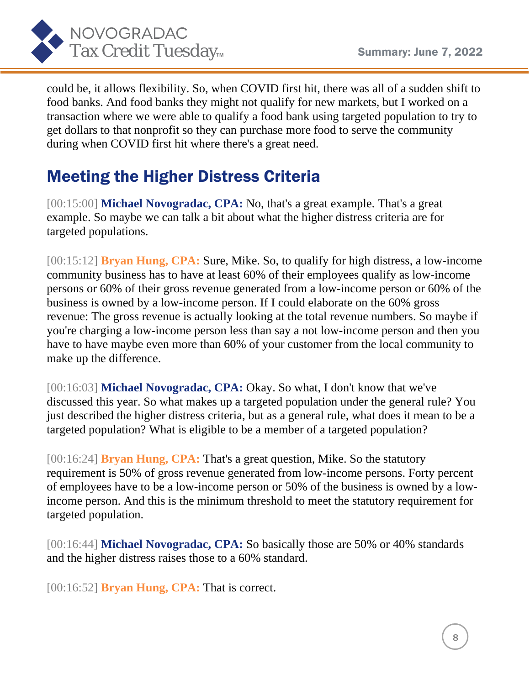

could be, it allows flexibility. So, when COVID first hit, there was all of a sudden shift to food banks. And food banks they might not qualify for new markets, but I worked on a transaction where we were able to qualify a food bank using targeted population to try to get dollars to that nonprofit so they can purchase more food to serve the community during when COVID first hit where there's a great need.

## Meeting the Higher Distress Criteria

[00:15:00] **Michael Novogradac, CPA:** No, that's a great example. That's a great example. So maybe we can talk a bit about what the higher distress criteria are for targeted populations.

[00:15:12] **Bryan Hung, CPA:** Sure, Mike. So, to qualify for high distress, a low-income community business has to have at least 60% of their employees qualify as low-income persons or 60% of their gross revenue generated from a low-income person or 60% of the business is owned by a low-income person. If I could elaborate on the 60% gross revenue: The gross revenue is actually looking at the total revenue numbers. So maybe if you're charging a low-income person less than say a not low-income person and then you have to have maybe even more than 60% of your customer from the local community to make up the difference.

[00:16:03] **Michael Novogradac, CPA:** Okay. So what, I don't know that we've discussed this year. So what makes up a targeted population under the general rule? You just described the higher distress criteria, but as a general rule, what does it mean to be a targeted population? What is eligible to be a member of a targeted population?

[00:16:24] **Bryan Hung, CPA:** That's a great question, Mike. So the statutory requirement is 50% of gross revenue generated from low-income persons. Forty percent of employees have to be a low-income person or 50% of the business is owned by a lowincome person. And this is the minimum threshold to meet the statutory requirement for targeted population.

[00:16:44] **Michael Novogradac, CPA:** So basically those are 50% or 40% standards and the higher distress raises those to a 60% standard.

[00:16:52] **Bryan Hung, CPA:** That is correct.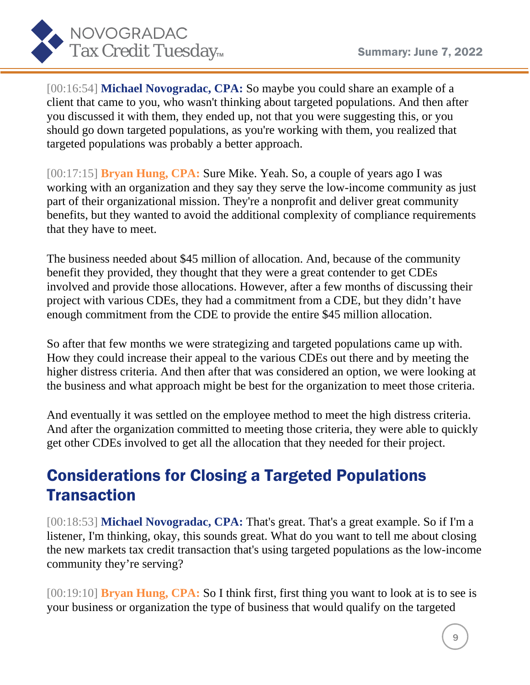

[00:16:54] **Michael Novogradac, CPA:** So maybe you could share an example of a client that came to you, who wasn't thinking about targeted populations. And then after you discussed it with them, they ended up, not that you were suggesting this, or you should go down targeted populations, as you're working with them, you realized that targeted populations was probably a better approach.

[00:17:15] **Bryan Hung, CPA:** Sure Mike. Yeah. So, a couple of years ago I was working with an organization and they say they serve the low-income community as just part of their organizational mission. They're a nonprofit and deliver great community benefits, but they wanted to avoid the additional complexity of compliance requirements that they have to meet.

The business needed about \$45 million of allocation. And, because of the community benefit they provided, they thought that they were a great contender to get CDEs involved and provide those allocations. However, after a few months of discussing their project with various CDEs, they had a commitment from a CDE, but they didn't have enough commitment from the CDE to provide the entire \$45 million allocation.

So after that few months we were strategizing and targeted populations came up with. How they could increase their appeal to the various CDEs out there and by meeting the higher distress criteria. And then after that was considered an option, we were looking at the business and what approach might be best for the organization to meet those criteria.

And eventually it was settled on the employee method to meet the high distress criteria. And after the organization committed to meeting those criteria, they were able to quickly get other CDEs involved to get all the allocation that they needed for their project.

## Considerations for Closing a Targeted Populations **Transaction**

[00:18:53] **Michael Novogradac, CPA:** That's great. That's a great example. So if I'm a listener, I'm thinking, okay, this sounds great. What do you want to tell me about closing the new markets tax credit transaction that's using targeted populations as the low-income community they're serving?

[00:19:10] **Bryan Hung, CPA:** So I think first, first thing you want to look at is to see is your business or organization the type of business that would qualify on the targeted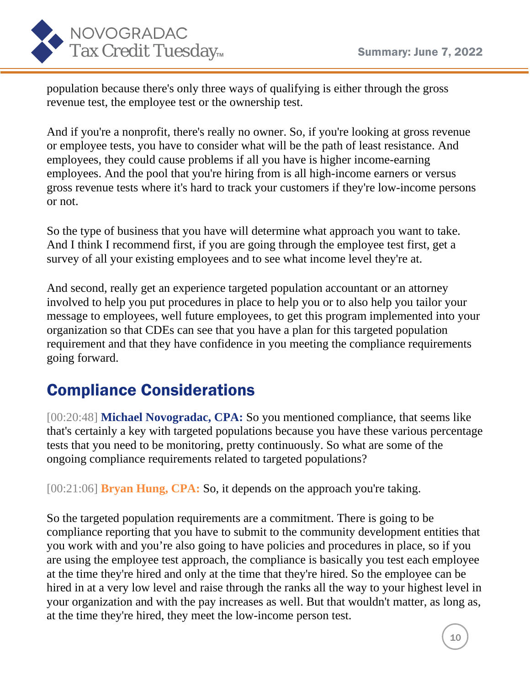

population because there's only three ways of qualifying is either through the gross revenue test, the employee test or the ownership test.

And if you're a nonprofit, there's really no owner. So, if you're looking at gross revenue or employee tests, you have to consider what will be the path of least resistance. And employees, they could cause problems if all you have is higher income-earning employees. And the pool that you're hiring from is all high-income earners or versus gross revenue tests where it's hard to track your customers if they're low-income persons or not.

So the type of business that you have will determine what approach you want to take. And I think I recommend first, if you are going through the employee test first, get a survey of all your existing employees and to see what income level they're at.

And second, really get an experience targeted population accountant or an attorney involved to help you put procedures in place to help you or to also help you tailor your message to employees, well future employees, to get this program implemented into your organization so that CDEs can see that you have a plan for this targeted population requirement and that they have confidence in you meeting the compliance requirements going forward.

#### Compliance Considerations

[00:20:48] **Michael Novogradac, CPA:** So you mentioned compliance, that seems like that's certainly a key with targeted populations because you have these various percentage tests that you need to be monitoring, pretty continuously. So what are some of the ongoing compliance requirements related to targeted populations?

[00:21:06] **Bryan Hung, CPA:** So, it depends on the approach you're taking.

So the targeted population requirements are a commitment. There is going to be compliance reporting that you have to submit to the community development entities that you work with and you're also going to have policies and procedures in place, so if you are using the employee test approach, the compliance is basically you test each employee at the time they're hired and only at the time that they're hired. So the employee can be hired in at a very low level and raise through the ranks all the way to your highest level in your organization and with the pay increases as well. But that wouldn't matter, as long as, at the time they're hired, they meet the low-income person test.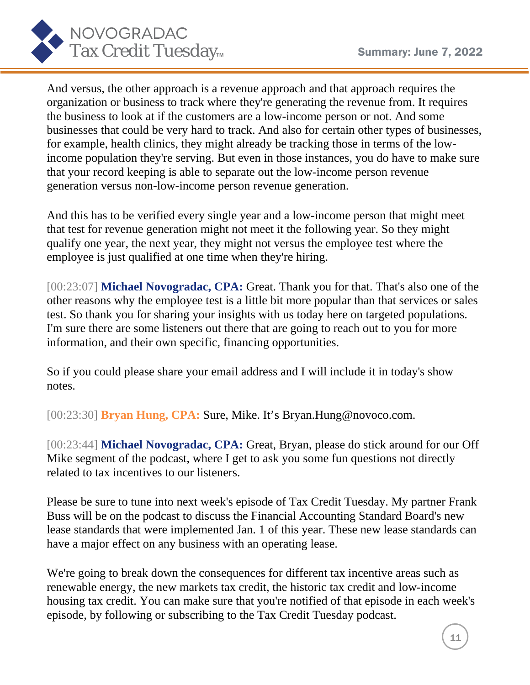

And versus, the other approach is a revenue approach and that approach requires the organization or business to track where they're generating the revenue from. It requires the business to look at if the customers are a low-income person or not. And some businesses that could be very hard to track. And also for certain other types of businesses, for example, health clinics, they might already be tracking those in terms of the lowincome population they're serving. But even in those instances, you do have to make sure that your record keeping is able to separate out the low-income person revenue generation versus non-low-income person revenue generation.

And this has to be verified every single year and a low-income person that might meet that test for revenue generation might not meet it the following year. So they might qualify one year, the next year, they might not versus the employee test where the employee is just qualified at one time when they're hiring.

[00:23:07] **Michael Novogradac, CPA:** Great. Thank you for that. That's also one of the other reasons why the employee test is a little bit more popular than that services or sales test. So thank you for sharing your insights with us today here on targeted populations. I'm sure there are some listeners out there that are going to reach out to you for more information, and their own specific, financing opportunities.

So if you could please share your email address and I will include it in today's show notes.

[00:23:30] **Bryan Hung, CPA:** Sure, Mike. It's Bryan.Hung@novoco.com.

[00:23:44] **Michael Novogradac, CPA:** Great, Bryan, please do stick around for our Off Mike segment of the podcast, where I get to ask you some fun questions not directly related to tax incentives to our listeners.

Please be sure to tune into next week's episode of Tax Credit Tuesday. My partner Frank Buss will be on the podcast to discuss the Financial Accounting Standard Board's new lease standards that were implemented Jan. 1 of this year. These new lease standards can have a major effect on any business with an operating lease.

We're going to break down the consequences for different tax incentive areas such as renewable energy, the new markets tax credit, the historic tax credit and low-income housing tax credit. You can make sure that you're notified of that episode in each week's episode, by following or subscribing to the Tax Credit Tuesday podcast.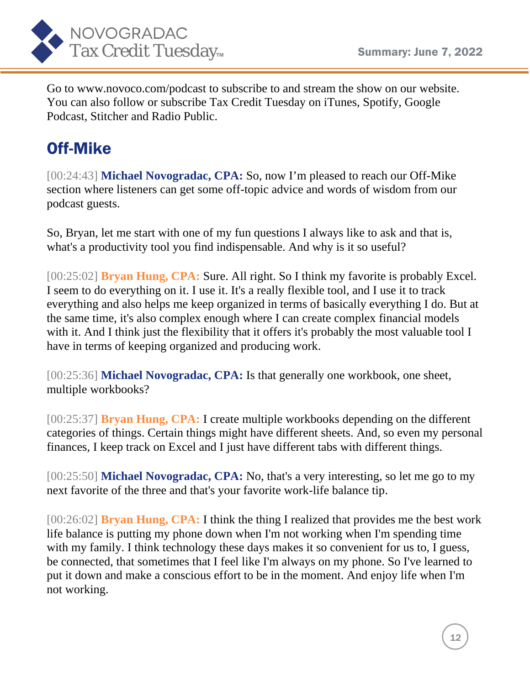

Go to www.novoco.com/podcast to subscribe to and stream the show on our website. You can also follow or subscribe Tax Credit Tuesday on iTunes, Spotify, Google Podcast, Stitcher and Radio Public.

# Off-Mike

[00:24:43] **Michael Novogradac, CPA:** So, now I'm pleased to reach our Off-Mike section where listeners can get some off-topic advice and words of wisdom from our podcast guests.

So, Bryan, let me start with one of my fun questions I always like to ask and that is, what's a productivity tool you find indispensable. And why is it so useful?

[00:25:02] **Bryan Hung, CPA:** Sure. All right. So I think my favorite is probably Excel. I seem to do everything on it. I use it. It's a really flexible tool, and I use it to track everything and also helps me keep organized in terms of basically everything I do. But at the same time, it's also complex enough where I can create complex financial models with it. And I think just the flexibility that it offers it's probably the most valuable tool I have in terms of keeping organized and producing work.

[00:25:36] **Michael Novogradac, CPA:** Is that generally one workbook, one sheet, multiple workbooks?

[00:25:37] **Bryan Hung, CPA:** I create multiple workbooks depending on the different categories of things. Certain things might have different sheets. And, so even my personal finances, I keep track on Excel and I just have different tabs with different things.

[00:25:50] **Michael Novogradac, CPA:** No, that's a very interesting, so let me go to my next favorite of the three and that's your favorite work-life balance tip.

[00:26:02] **Bryan Hung, CPA:** I think the thing I realized that provides me the best work life balance is putting my phone down when I'm not working when I'm spending time with my family. I think technology these days makes it so convenient for us to, I guess, be connected, that sometimes that I feel like I'm always on my phone. So I've learned to put it down and make a conscious effort to be in the moment. And enjoy life when I'm not working.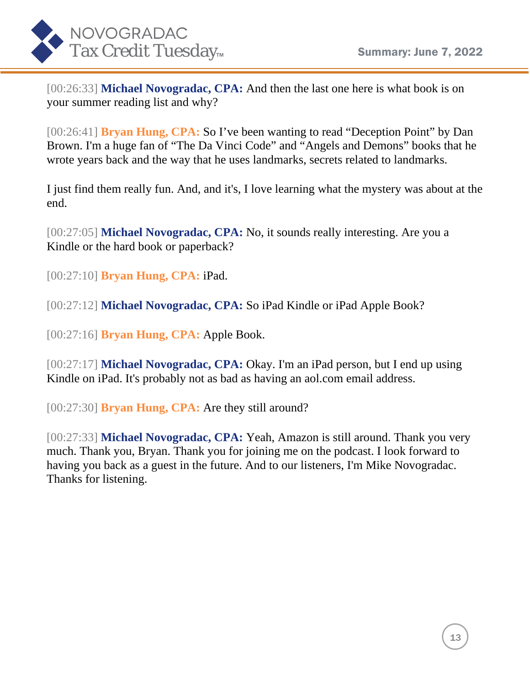

[00:26:33] **Michael Novogradac, CPA:** And then the last one here is what book is on your summer reading list and why?

[00:26:41] **Bryan Hung, CPA:** So I've been wanting to read "Deception Point" by Dan Brown. I'm a huge fan of "The Da Vinci Code" and "Angels and Demons" books that he wrote years back and the way that he uses landmarks, secrets related to landmarks.

I just find them really fun. And, and it's, I love learning what the mystery was about at the end.

[00:27:05] **Michael Novogradac, CPA:** No, it sounds really interesting. Are you a Kindle or the hard book or paperback?

[00:27:10] **Bryan Hung, CPA:** iPad.

[00:27:12] **Michael Novogradac, CPA:** So iPad Kindle or iPad Apple Book?

[00:27:16] **Bryan Hung, CPA:** Apple Book.

[00:27:17] **Michael Novogradac, CPA:** Okay. I'm an iPad person, but I end up using Kindle on iPad. It's probably not as bad as having an aol.com email address.

[00:27:30] **Bryan Hung, CPA:** Are they still around?

[00:27:33] **Michael Novogradac, CPA:** Yeah, Amazon is still around. Thank you very much. Thank you, Bryan. Thank you for joining me on the podcast. I look forward to having you back as a guest in the future. And to our listeners, I'm Mike Novogradac. Thanks for listening.